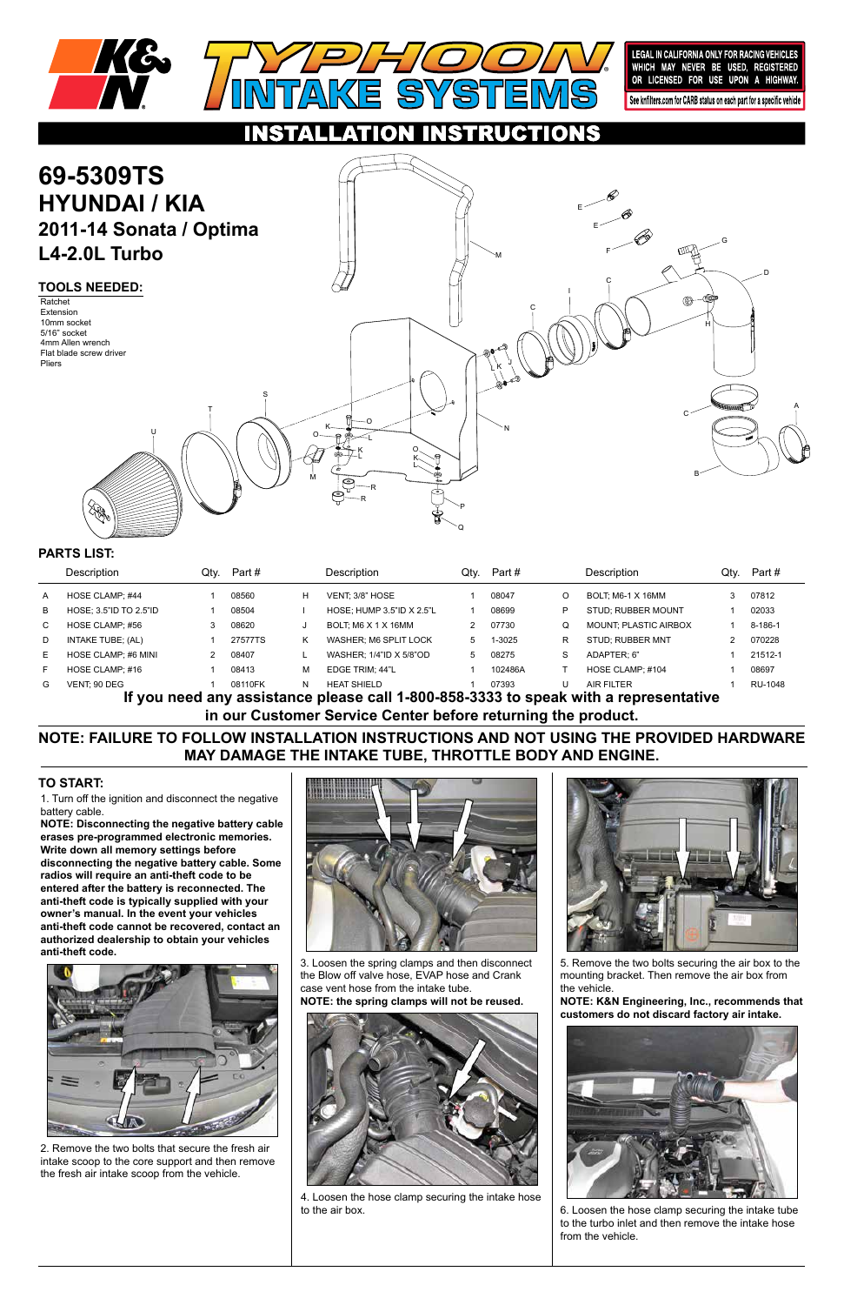1. Turn off the ignition and disconnect the negative battery cable.

**NOTE: Disconnecting the negative battery cable erases pre-programmed electronic memories. Write down all memory settings before disconnecting the negative battery cable. Some radios will require an anti-theft code to be entered after the battery is reconnected. The anti-theft code is typically supplied with your owner's manual. In the event your vehicles anti-theft code cannot be recovered, contact an authorized dealership to obtain your vehicles anti-theft code.**







## **TO START:**



LEGAL IN CALIFORNIA ONLY FOR RACING VEHICLES<br>WHICH MAY NEVER BE USED, REGISTERED<br>OR LICENSED FOR USE UPON A HIGHWAY.

See knfilters.com for CARB status on each part for a specific vehicle

**NOTE: FAILURE TO FOLLOW INSTALLATION INSTRUCTIONS AND NOT USING THE PROVIDED HARDWARE MAY DAMAGE THE INTAKE TUBE, THROTTLE BODY AND ENGINE.**

### CTIONS **69-5309TS HYUNDAI / KIA** E **2011-14 Sonata / Optima** E G **L4-2.0L Turbo** F M D C **TOOLS NEEDED:** I Ratchet C Extension 10mm socket H 5/16" socket 4mm Allen wrench Flat blade screw driver Pliers J L K S A T C O K N U O L K O L K L B M R R 谷 P Q

**If you need any assistance please call 1-800-858-3333 to speak with a representative in our Customer Service Center before returning the product.**

|                                                                                    | Description            | Qtv. | Part #  |   | Description               | Qtv.         | Part #  |   | Description                  | Qtv. | Part #  |
|------------------------------------------------------------------------------------|------------------------|------|---------|---|---------------------------|--------------|---------|---|------------------------------|------|---------|
| A                                                                                  | HOSE CLAMP; #44        |      | 08560   | н | VENT: 3/8" HOSE           |              | 08047   | O | <b>BOLT: M6-1 X 16MM</b>     |      | 07812   |
| B                                                                                  | HOSE: 3.5"ID TO 2.5"ID |      | 08504   |   | HOSE: HUMP 3.5"ID X 2.5"L |              | 08699   |   | STUD: RUBBER MOUNT           |      | 02033   |
| C.                                                                                 | HOSE CLAMP; #56        |      | 08620   |   | BOLT; M6 X 1 X 16MM       |              | 07730   | O | <b>MOUNT, PLASTIC AIRBOX</b> |      | 8-186-1 |
| D                                                                                  | INTAKE TUBE; (AL)      |      | 27577TS | ĸ | WASHER: M6 SPLIT LOCK     |              | 1-3025  | R | <b>STUD: RUBBER MNT</b>      |      | 070228  |
| E.                                                                                 | HOSE CLAMP; #6 MINI    |      | 08407   |   | WASHER: 1/4"ID X 5/8"OD   | $\mathbf{b}$ | 08275   | S | ADAPTER: 6"                  |      | 21512-1 |
| F.                                                                                 | HOSE CLAMP; #16        |      | 08413   | м | EDGE TRIM: 44"L           |              | 102486A |   | HOSE CLAMP; #104             |      | 08697   |
| G                                                                                  | VENT: 90 DEG           |      | 08110FK | N | <b>HEAT SHIELD</b>        |              | 07393   |   | <b>AIR FILTER</b>            |      | RU-1048 |
| If you need any accidence please call 1,900,959,222 to speak with a representative |                        |      |         |   |                           |              |         |   |                              |      |         |

## **PARTS LIST:**

2. Remove the two bolts that secure the fresh air intake scoop to the core support and then remove the fresh air intake scoop from the vehicle.

3. Loosen the spring clamps and then disconnect the Blow off valve hose, EVAP hose and Crank case vent hose from the intake tube. **NOTE: the spring clamps will not be reused.**



4. Loosen the hose clamp securing the intake hose to the air box.

5. Remove the two bolts securing the air box to the mounting bracket. Then remove the air box from the vehicle.

**NOTE: K&N Engineering, Inc., recommends that customers do not discard factory air intake.**



6. Loosen the hose clamp securing the intake tube to the turbo inlet and then remove the intake hose from the vehicle.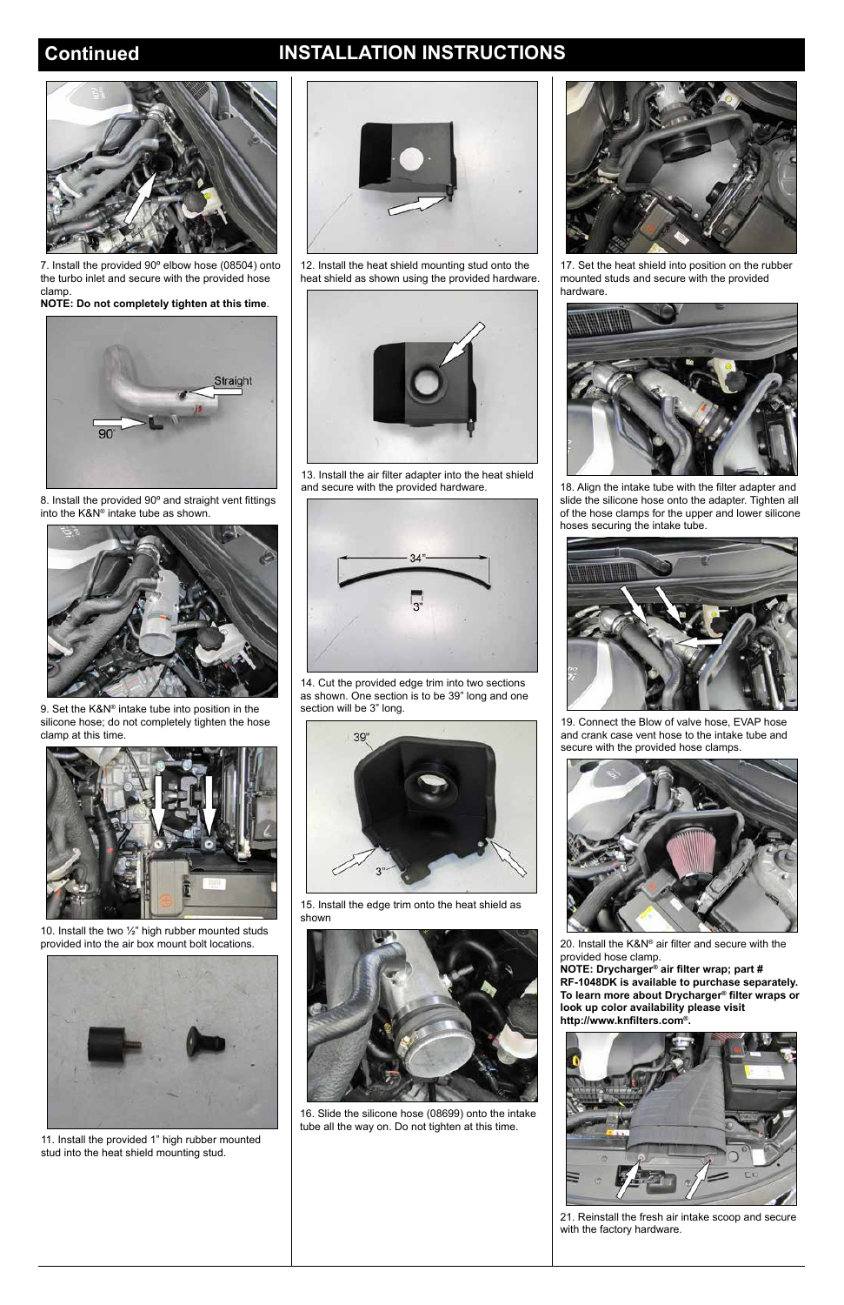# **Continued INSTALLATION INSTRUCTIONS**



7. Install the provided 90º elbow hose (08504) onto the turbo inlet and secure with the provided hose clamp.

**NOTE: Do not completely tighten at this time**.



8. Install the provided 90º and straight vent fittings into the K&N® intake tube as shown.



9. Set the K&N® intake tube into position in the silicone hose; do not completely tighten the hose clamp at this time.



10. Install the two ½" high rubber mounted studs provided into the air box mount bolt locations.



11. Install the provided 1" high rubber mounted stud into the heat shield mounting stud.

12. Install the heat shield mounting stud onto the heat shield as shown using the provided hardware.



13. Install the air filter adapter into the heat shield and secure with the provided hardware.



14. Cut the provided edge trim into two sections as shown. One section is to be 39" long and one section will be 3" long.



15. Install the edge trim onto the heat shield as shown



16. Slide the silicone hose (08699) onto the intake tube all the way on. Do not tighten at this time.



17. Set the heat shield into position on the rubber mounted studs and secure with the provided hardware.



18. Align the intake tube with the filter adapter and slide the silicone hose onto the adapter. Tighten all of the hose clamps for the upper and lower silicone hoses securing the intake tube.



19. Connect the Blow of valve hose, EVAP hose and crank case vent hose to the intake tube and secure with the provided hose clamps.



20. Install the K&N® air filter and secure with the provided hose clamp.



**NOTE: Drycharger® air filter wrap; part # RF-1048DK is available to purchase separately. To learn more about Drycharger® filter wraps or look up color availability please visit http://www.knfilters.com®.**



21. Reinstall the fresh air intake scoop and secure with the factory hardware.